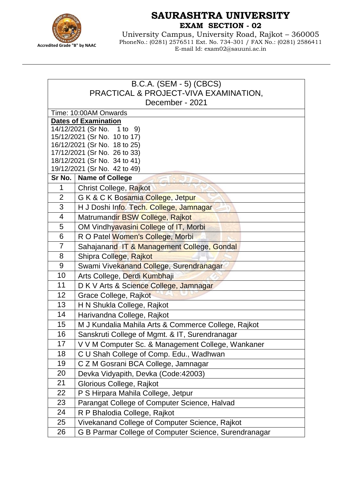

## **SAURASHTRA UNIVERSITY EXAM SECTION - 02**

University Campus, University Road, Rajkot – 360005 PhoneNo.: (0281) 2576511 Ext. No. 734-301 / FAX No.: (0281) 2586411 E-mail Id: exam02@sauuni.ac.in

| B.C.A. (SEM - 5) (CBCS)                                          |                                                       |  |
|------------------------------------------------------------------|-------------------------------------------------------|--|
| PRACTICAL & PROJECT-VIVA EXAMINATION,                            |                                                       |  |
| December - 2021                                                  |                                                       |  |
| Time: 10:00AM Onwards                                            |                                                       |  |
| <b>Dates of Examination</b><br>14/12/2021 (Sr No. 1 to<br>9)     |                                                       |  |
| 15/12/2021 (Sr No. 10 to 17)                                     |                                                       |  |
| 16/12/2021 (Sr No. 18 to 25)                                     |                                                       |  |
| 17/12/2021 (Sr No. 26 to 33)                                     |                                                       |  |
| 18/12/2021 (Sr No. 34 to 41)                                     |                                                       |  |
| 19/12/2021 (Sr No. 42 to 49)<br>Sr No.<br><b>Name of College</b> |                                                       |  |
| 1                                                                |                                                       |  |
| $\overline{2}$                                                   | Christ College, Rajkot                                |  |
| 3                                                                | G K & C K Bosamia College, Jetpur                     |  |
| 4                                                                | H J Doshi Info. Tech. College, Jamnagar               |  |
| 5                                                                | Matrumandir BSW College, Rajkot                       |  |
| 6                                                                | OM Vindhyavasini College of IT, Morbi                 |  |
| $\overline{7}$                                                   | R O Patel Women's College, Morbi                      |  |
| 8                                                                | Sahajanand IT & Management College, Gondal            |  |
| 9                                                                | Shipra College, Rajkot                                |  |
|                                                                  | Swami Vivekanand College, Surendranagar               |  |
| 10<br>11                                                         | Arts College, Derdi Kumbhaji                          |  |
|                                                                  | D K V Arts & Science College, Jamnagar                |  |
| 12                                                               | Grace College, Rajkot                                 |  |
| 13<br>14                                                         | H N Shukla College, Rajkot                            |  |
|                                                                  | Harivandna College, Rajkot                            |  |
| 15                                                               | M J Kundalia Mahila Arts & Commerce College, Rajkot   |  |
| 16                                                               | Sanskruti College of Mgmt. & IT, Surendranagar        |  |
| 17                                                               | V V M Computer Sc. & Management College, Wankaner     |  |
| 18                                                               | C U Shah College of Comp. Edu., Wadhwan               |  |
| 19                                                               | C Z M Gosrani BCA College, Jamnagar                   |  |
| 20                                                               | Devka Vidyapith, Devka (Code:42003)                   |  |
| 21                                                               | Glorious College, Rajkot                              |  |
| 22                                                               | P S Hirpara Mahila College, Jetpur                    |  |
| 23                                                               | Parangat College of Computer Science, Halvad          |  |
| 24                                                               | R P Bhalodia College, Rajkot                          |  |
| 25                                                               | Vivekanand College of Computer Science, Rajkot        |  |
| 26                                                               | G B Parmar College of Computer Science, Surendranagar |  |